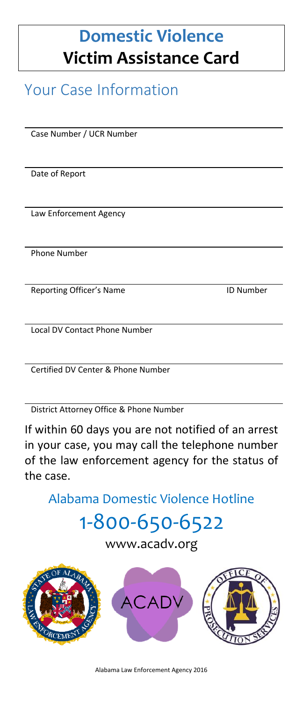## **Domestic Violence Victim Assistance Card**

## Your Case Information

Case Number / UCR Number

Date of Report

Law Enforcement Agency

Phone Number

Reporting Officer's Name ID Number

Local DV Contact Phone Number

Certified DV Center & Phone Number

District Attorney Office & Phone Number

If within 60 days you are not notified of an arrest in your case, you may call the telephone number of the law enforcement agency for the status of the case.

Alabama Domestic Violence Hotline

# 1-800-650-6522

www.acadv.org